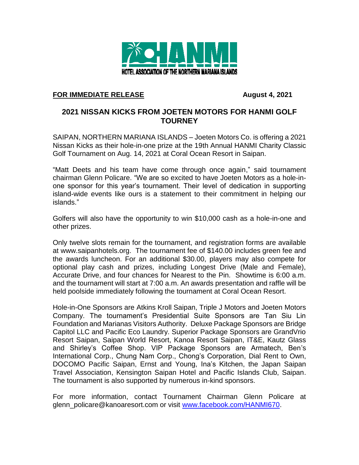

## **FOR IMMEDIATE RELEASE August 4, 2021**

## **2021 NISSAN KICKS FROM JOETEN MOTORS FOR HANMI GOLF TOURNEY**

SAIPAN, NORTHERN MARIANA ISLANDS – Joeten Motors Co. is offering a 2021 Nissan Kicks as their hole-in-one prize at the 19th Annual HANMI Charity Classic Golf Tournament on Aug. 14, 2021 at Coral Ocean Resort in Saipan.

"Matt Deets and his team have come through once again," said tournament chairman Glenn Policare. "We are so excited to have Joeten Motors as a hole-inone sponsor for this year's tournament. Their level of dedication in supporting island-wide events like ours is a statement to their commitment in helping our islands."

Golfers will also have the opportunity to win \$10,000 cash as a hole-in-one and other prizes.

Only twelve slots remain for the tournament, and registration forms are available at www.saipanhotels.org. The tournament fee of \$140.00 includes green fee and the awards luncheon. For an additional \$30.00, players may also compete for optional play cash and prizes, including Longest Drive (Male and Female), Accurate Drive, and four chances for Nearest to the Pin. Showtime is 6:00 a.m. and the tournament will start at 7:00 a.m. An awards presentation and raffle will be held poolside immediately following the tournament at Coral Ocean Resort.

Hole-in-One Sponsors are Atkins Kroll Saipan, Triple J Motors and Joeten Motors Company. The tournament's Presidential Suite Sponsors are Tan Siu Lin Foundation and Marianas Visitors Authority. Deluxe Package Sponsors are Bridge Capitol LLC and Pacific Eco Laundry. Superior Package Sponsors are GrandVrio Resort Saipan, Saipan World Resort, Kanoa Resort Saipan, IT&E, Kautz Glass and Shirley's Coffee Shop. VIP Package Sponsors are Armatech, Ben's International Corp., Chung Nam Corp., Chong's Corporation, Dial Rent to Own, DOCOMO Pacific Saipan, Ernst and Young, Ina's Kitchen, the Japan Saipan Travel Association, Kensington Saipan Hotel and Pacific Islands Club, Saipan. The tournament is also supported by numerous in-kind sponsors.

For more information, contact Tournament Chairman Glenn Policare at glenn\_policare@kanoaresort.com or visit [www.facebook.com/HANMI670.](http://www.facebook.com/HANMI670)